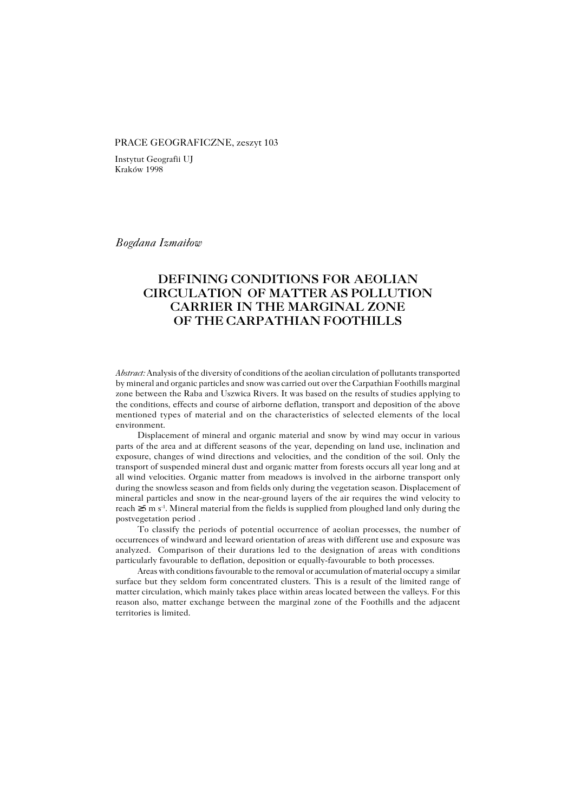#### PRACE GEOGRAFICZNE, zeszyt 103

Instytut Geografii UJ Kraków 1998

*Bogdana Izmaiłow*

# **DEFINING CONDITIONS FOR AEOLIAN CIRCULATION OF MATTER AS POLLUTION CARRIER IN THE MARGINAL ZONE OF THE CARPATHIAN FOOTHILLS**

*Abstract:* Analysis of the diversity of conditions of the aeolian circulation of pollutants transported by mineral and organic particles and snow was carried out over the Carpathian Foothills marginal zone between the Raba and Uszwica Rivers. It was based on the results of studies applying to the conditions, effects and course of airborne deflation, transport and deposition of the above mentioned types of material and on the characteristics of selected elements of the local environment.

Displacement of mineral and organic material and snow by wind may occur in various parts of the area and at different seasons of the year, depending on land use, inclination and exposure, changes of wind directions and velocities, and the condition of the soil. Only the transport of suspended mineral dust and organic matter from forests occurs all year long and at all wind velocities. Organic matter from meadows is involved in the airborne transport only during the snowless season and from fields only during the vegetation season. Displacement of mineral particles and snow in the near−ground layers of the air requires the wind velocity to reach ≥5 m s−1. Mineral material from the fields is supplied from ploughed land only during the postvegetation period .

To classify the periods of potential occurrence of aeolian processes, the number of occurrences of windward and leeward orientation of areas with different use and exposure was analyzed. Comparison of their durations led to the designation of areas with conditions particularly favourable to deflation, deposition or equally−favourable to both processes.

Areas with conditions favourable to the removal or accumulation of material occupy a similar surface but they seldom form concentrated clusters. This is a result of the limited range of matter circulation, which mainly takes place within areas located between the valleys. For this reason also, matter exchange between the marginal zone of the Foothills and the adjacent territories is limited.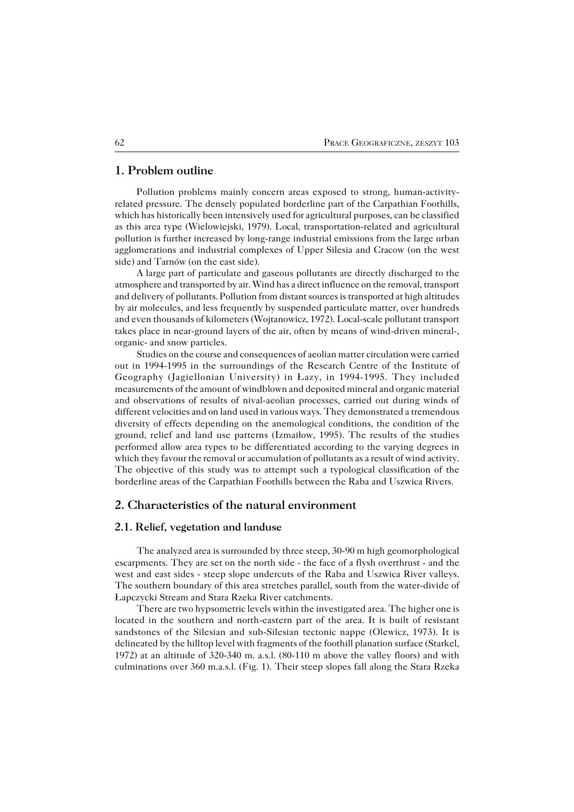## **1. Problem outline**

Pollution problems mainly concern areas exposed to strong, human−activity− related pressure. The densely populated borderline part of the Carpathian Foothills, which has historically been intensively used for agricultural purposes, can be classified as this area type (Wielowiejski, 1979). Local, transportation−related and agricultural pollution is further increased by long−range industrial emissions from the large urban agglomerations and industrial complexes of Upper Silesia and Cracow (on the west side) and Tarnów (on the east side).

A large part of particulate and gaseous pollutants are directly discharged to the atmosphere and transported by air. Wind has a direct influence on the removal, transport and delivery of pollutants. Pollution from distant sources is transported at high altitudes by air molecules, and less frequently by suspended particulate matter, over hundreds and even thousands of kilometers (Wojtanowicz, 1972). Local−scale pollutant transport takes place in near−ground layers of the air, often by means of wind−driven mineral−, organic− and snow particles.

Studies on the course and consequences of aeolian matter circulation were carried out in 1994−1995 in the surroundings of the Research Centre of the Institute of Geography (Jagiellonian University) in Łazy, in 1994−1995. They included measurements of the amount of windblown and deposited mineral and organic material and observations of results of nival−aeolian processes, carried out during winds of different velocities and on land used in various ways. They demonstrated a tremendous diversity of effects depending on the anemological conditions, the condition of the ground, relief and land use patterns (Izmaiłow, 1995). The results of the studies performed allow area types to be differentiated according to the varying degrees in which they favour the removal or accumulation of pollutants as a result of wind activity. The objective of this study was to attempt such a typological classification of the borderline areas of the Carpathian Foothills between the Raba and Uszwica Rivers.

## **2. Characteristics of the natural environment**

#### **2.1. Relief, vegetation and landuse**

The analyzed area is surrounded by three steep, 30−90 m high geomorphological escarpments. They are set on the north side − the face of a flysh overthrust − and the west and east sides − steep slope undercuts of the Raba and Uszwica River valleys. The southern boundary of this area stretches parallel, south from the water−divide of Łapczycki Stream and Stara Rzeka River catchments.

There are two hypsometric levels within the investigated area. The higher one is located in the southern and north−eastern part of the area. It is built of resistant sandstones of the Silesian and sub−Silesian tectonic nappe (Olewicz, 1973). It is delineated by the hilltop level with fragments of the foothill planation surface (Starkel, 1972) at an altitude of 320−340 m. a.s.l. (80−110 m above the valley floors) and with culminations over 360 m.a.s.l. (Fig. 1). Their steep slopes fall along the Stara Rzeka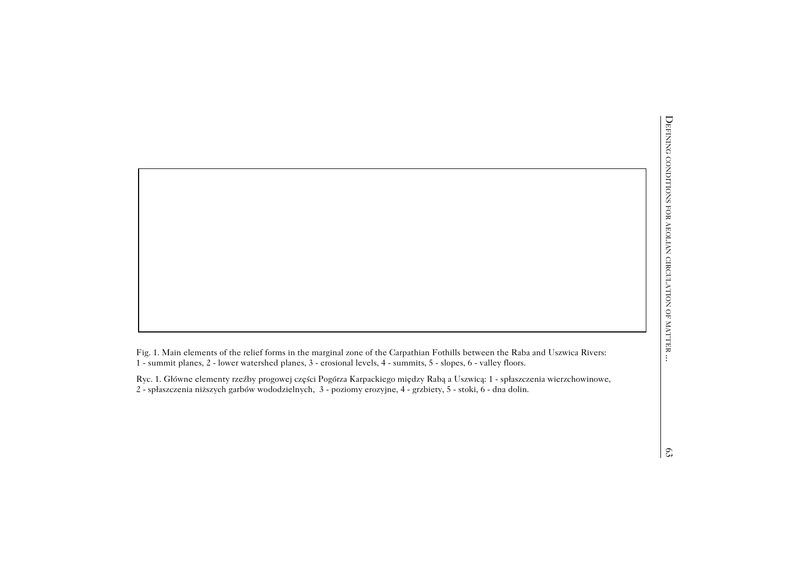L. 1 → Summit planes, 2 − lower watershed planes, 3 − erosional levels, 4 − summits, 5 − slopes, 6 − valley floors.<br>
The summit planes, 2 − lower watershed planes, 3 − erosional levels, 4 − summits, 5 − slopes, 6 − valle

Fig. 1. Main elements of the relief forms in the marginal zone of the Carpathian Fothills between the Raba and Uszwica Rivers:<br>
Fig. 1. Main elements of the relief forms in the marginal zone of the Carpathian Fothills betw Ryc. 1. Główne elementy rzeźby progowej części Pogórza Karpackiego między Rabą a Uszwicą: 1 − spłaszczenia wierzchowinowe,2 − spłaszczenia niższych garbów wododzielnych, 3 − poziomy erozyjne, 4 − grzbiety, 5 − stoki, 6 − dna dolin.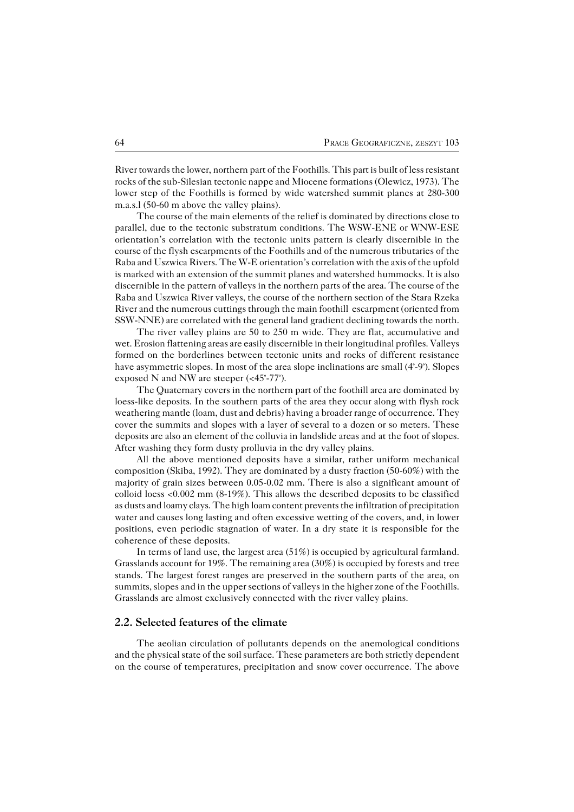River towards the lower, northern part of the Foothills. This part is built of less resistant rocks of the sub−Silesian tectonic nappe and Miocene formations (Olewicz, 1973). The lower step of the Foothills is formed by wide watershed summit planes at 280−300 m.a.s.l (50−60 m above the valley plains).

The course of the main elements of the relief is dominated by directions close to parallel, due to the tectonic substratum conditions. The WSW−ENE or WNW−ESE orientation's correlation with the tectonic units pattern is clearly discernible in the course of the flysh escarpments of the Foothills and of the numerous tributaries of the Raba and Uszwica Rivers. The W−E orientation's correlation with the axis of the upfold is marked with an extension of the summit planes and watershed hummocks. It is also discernible in the pattern of valleys in the northern parts of the area. The course of the Raba and Uszwica River valleys, the course of the northern section of the Stara Rzeka River and the numerous cuttings through the main foothill escarpment (oriented from SSW-NNE) are correlated with the general land gradient declining towards the north.

The river valley plains are 50 to 250 m wide. They are flat, accumulative and wet. Erosion flattening areas are easily discernible in their longitudinal profiles. Valleys formed on the borderlines between tectonic units and rocks of different resistance have asymmetric slopes. In most of the area slope inclinations are small (4°−9°). Slopes exposed N and NW are steeper (<45°−77°).

The Quaternary covers in the northern part of the foothill area are dominated by loess−like deposits. In the southern parts of the area they occur along with flysh rock weathering mantle (loam, dust and debris) having a broader range of occurrence. They cover the summits and slopes with a layer of several to a dozen or so meters. These deposits are also an element of the colluvia in landslide areas and at the foot of slopes. After washing they form dusty prolluvia in the dry valley plains.

All the above mentioned deposits have a similar, rather uniform mechanical composition (Skiba, 1992). They are dominated by a dusty fraction (50−60%) with the majority of grain sizes between 0.05−0.02 mm. There is also a significant amount of colloid loess <0.002 mm (8−19%). This allows the described deposits to be classified as dusts and loamy clays. The high loam content prevents the infiltration of precipitation water and causes long lasting and often excessive wetting of the covers, and, in lower positions, even periodic stagnation of water. In a dry state it is responsible for the coherence of these deposits.

In terms of land use, the largest area (51%) is occupied by agricultural farmland. Grasslands account for 19%. The remaining area (30%) is occupied by forests and tree stands. The largest forest ranges are preserved in the southern parts of the area, on summits, slopes and in the upper sections of valleys in the higher zone of the Foothills. Grasslands are almost exclusively connected with the river valley plains.

#### **2.2. Selected features of the climate**

The aeolian circulation of pollutants depends on the anemological conditions and the physical state of the soil surface. These parameters are both strictly dependent on the course of temperatures, precipitation and snow cover occurrence. The above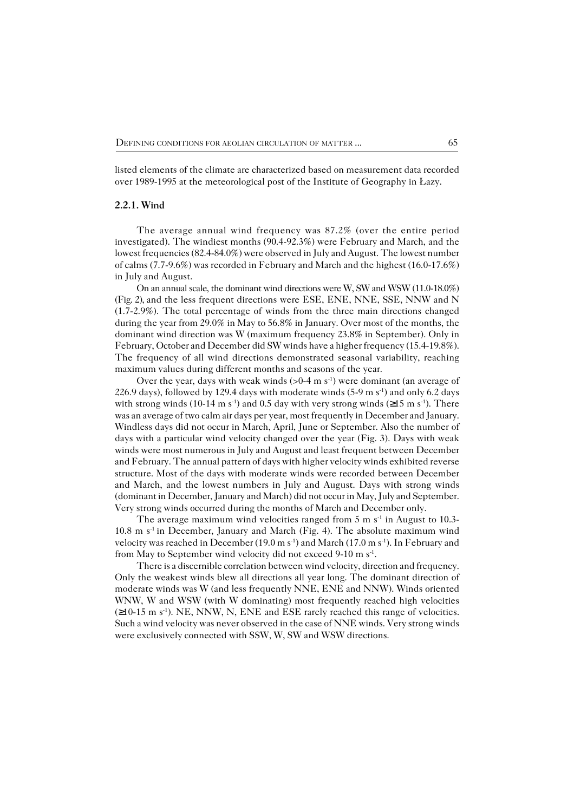listed elements of the climate are characterized based on measurement data recorded over 1989−1995 at the meteorological post of the Institute of Geography in Łazy.

### **2.2.1. Wind**

The average annual wind frequency was 87.2% (over the entire period investigated). The windiest months (90.4−92.3%) were February and March, and the lowest frequencies (82.4−84.0%) were observed in July and August. The lowest number of calms (7.7−9.6%) was recorded in February and March and the highest (16.0−17.6%) in July and August.

On an annual scale, the dominant wind directions were W, SW and WSW (11.0−18.0%) (Fig. 2), and the less frequent directions were ESE, ENE, NNE, SSE, NNW and N (1.7−2.9%). The total percentage of winds from the three main directions changed during the year from 29.0% in May to 56.8% in January. Over most of the months, the dominant wind direction was W (maximum frequency 23.8% in September). Only in February, October and December did SW winds have a higher frequency (15.4−19.8%). The frequency of all wind directions demonstrated seasonal variability, reaching maximum values during different months and seasons of the year.

Over the year, days with weak winds (>0−4 m s<sup>-1</sup>) were dominant (an average of 226.9 days), followed by 129.4 days with moderate winds (5−9 m s−1) and only 6.2 days with strong winds (10−14 m s<sup>-1</sup>) and 0.5 day with very strong winds (≥15 m s<sup>-1</sup>). There was an average of two calm air days per year, most frequently in December and January. Windless days did not occur in March, April, June or September. Also the number of days with a particular wind velocity changed over the year (Fig. 3). Days with weak winds were most numerous in July and August and least frequent between December and February. The annual pattern of days with higher velocity winds exhibited reverse structure. Most of the days with moderate winds were recorded between December and March, and the lowest numbers in July and August. Days with strong winds (dominant in December, January and March) did not occur in May, July and September. Very strong winds occurred during the months of March and December only.

The average maximum wind velocities ranged from 5 m s<sup>-1</sup> in August to 10.3− 10.8 m s−1 in December, January and March (Fig. 4). The absolute maximum wind velocity was reached in December (19.0 m s−1) and March (17.0 m s−1). In February and from May to September wind velocity did not exceed 9-10 m s<sup>-1</sup>.

There is a discernible correlation between wind velocity, direction and frequency. Only the weakest winds blew all directions all year long. The dominant direction of moderate winds was W (and less frequently NNE, ENE and NNW). Winds oriented WNW, W and WSW (with W dominating) most frequently reached high velocities (≥10−15 m s−1). NE, NNW, N, ENE and ESE rarely reached this range of velocities. Such a wind velocity was never observed in the case of NNE winds. Very strong winds were exclusively connected with SSW, W, SW and WSW directions.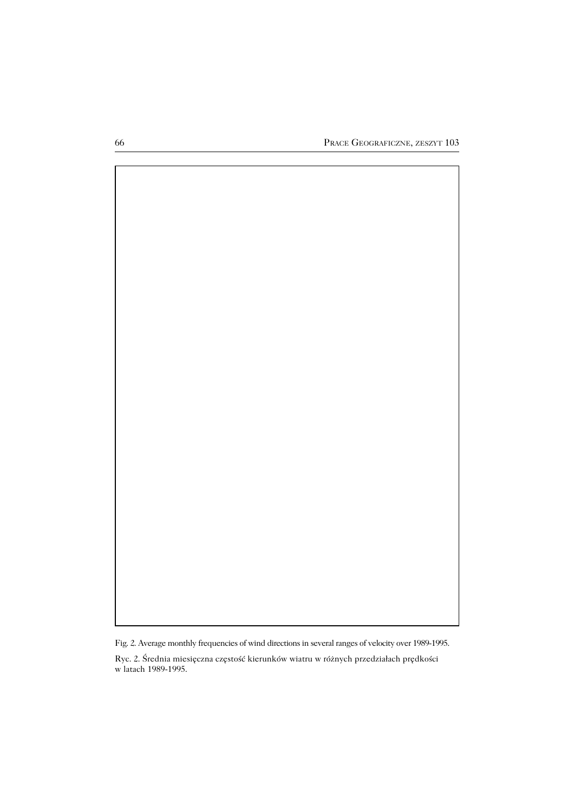

Fig. 2. Average monthly frequencies of wind directions in several ranges of velocity over 1989−1995.

Ryc. 2. Średnia miesięczna częstość kierunków wiatru w różnych przedziałach prędkości w latach 1989−1995.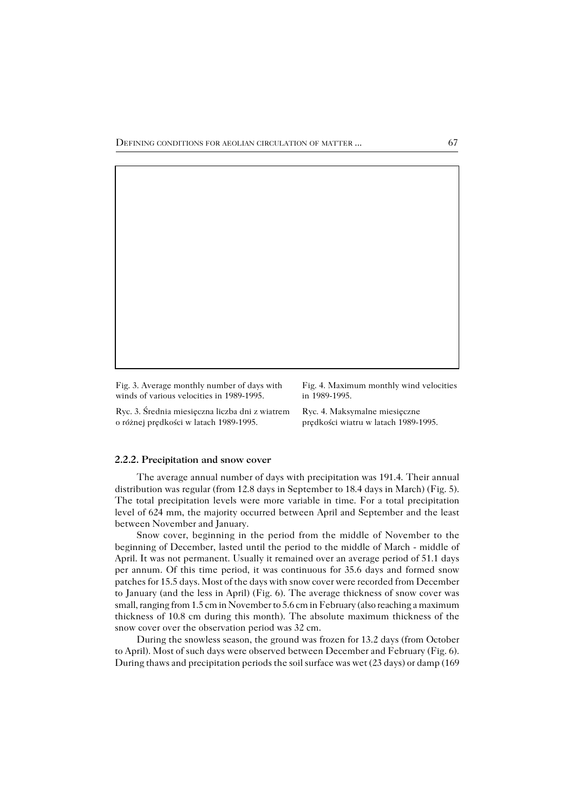Fig. 3. Average monthly number of days with winds of various velocities in 1989−1995.

Ryc. 3. Średnia miesięczna liczba dni z wiatrem o różnej prędkości w latach 1989−1995.

Fig. 4. Maximum monthly wind velocities in 1989−1995.

Ryc. 4. Maksymalne miesięczne prędkości wiatru w latach 1989−1995.

#### **2.2.2. Precipitation and snow cover**

The average annual number of days with precipitation was 191.4. Their annual distribution was regular (from 12.8 days in September to 18.4 days in March) (Fig. 5). The total precipitation levels were more variable in time. For a total precipitation level of 624 mm, the majority occurred between April and September and the least between November and January.

Snow cover, beginning in the period from the middle of November to the beginning of December, lasted until the period to the middle of March − middle of April. It was not permanent. Usually it remained over an average period of 51.1 days per annum. Of this time period, it was continuous for 35.6 days and formed snow patches for 15.5 days. Most of the days with snow cover were recorded from December to January (and the less in April) (Fig. 6). The average thickness of snow cover was small, ranging from 1.5 cm in November to 5.6 cm in February (also reaching a maximum thickness of 10.8 cm during this month). The absolute maximum thickness of the snow cover over the observation period was 32 cm.

During the snowless season, the ground was frozen for 13.2 days (from October to April). Most of such days were observed between December and February (Fig. 6). During thaws and precipitation periods the soil surface was wet (23 days) or damp (169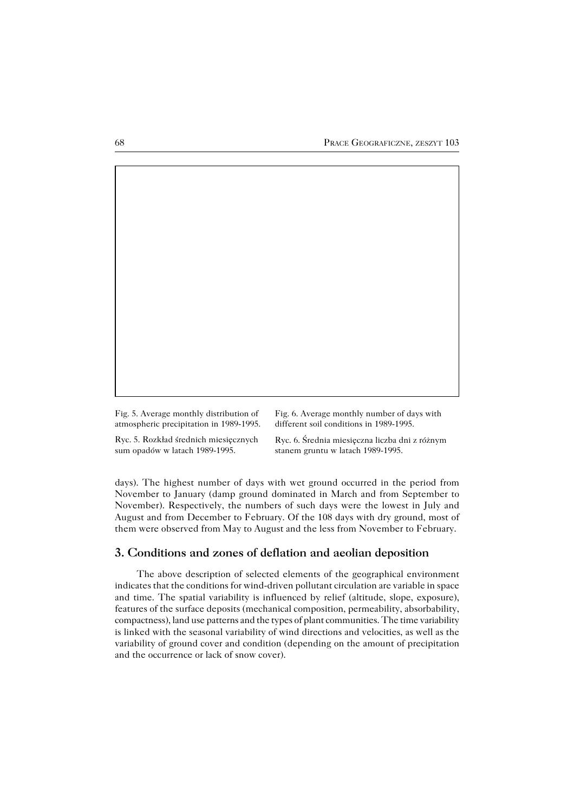| Fig. 5. Average monthly distribution of | Fig. 6. Average monthly number of days with    |
|-----------------------------------------|------------------------------------------------|
| atmospheric precipitation in 1989-1995. | different soil conditions in 1989-1995.        |
| Ryc. 5. Rozkład średnich miesięcznych   | Ryc. 6. Średnia miesięczna liczba dni z różnym |

sum opadów w latach 1989−1995.

days). The highest number of days with wet ground occurred in the period from November to January (damp ground dominated in March and from September to November). Respectively, the numbers of such days were the lowest in July and August and from December to February. Of the 108 days with dry ground, most of them were observed from May to August and the less from November to February.

stanem gruntu w latach 1989−1995.

## **3. Conditions and zones of deflation and aeolian deposition**

The above description of selected elements of the geographical environment indicates that the conditions for wind−driven pollutant circulation are variable in space and time. The spatial variability is influenced by relief (altitude, slope, exposure), features of the surface deposits (mechanical composition, permeability, absorbability, compactness), land use patterns and the types of plant communities. The time variability is linked with the seasonal variability of wind directions and velocities, as well as the variability of ground cover and condition (depending on the amount of precipitation and the occurrence or lack of snow cover).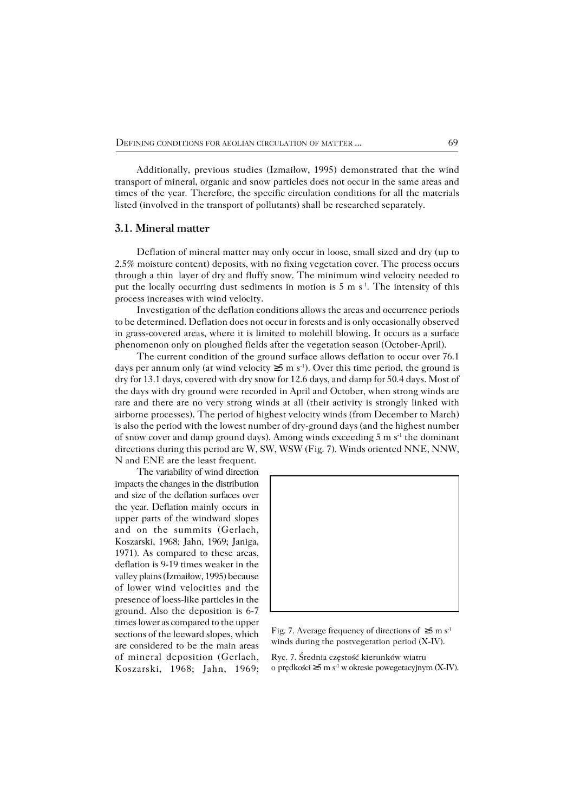Additionally, previous studies (Izmaiłow, 1995) demonstrated that the wind transport of mineral, organic and snow particles does not occur in the same areas and times of the year. Therefore, the specific circulation conditions for all the materials listed (involved in the transport of pollutants) shall be researched separately.

#### **3.1. Mineral matter**

Deflation of mineral matter may only occur in loose, small sized and dry (up to 2.5% moisture content) deposits, with no fixing vegetation cover. The process occurs through a thin layer of dry and fluffy snow. The minimum wind velocity needed to put the locally occurring dust sediments in motion is 5 m s<sup>-1</sup>. The intensity of this process increases with wind velocity.

Investigation of the deflation conditions allows the areas and occurrence periods to be determined. Deflation does not occur in forests and is only occasionally observed in grass−covered areas, where it is limited to molehill blowing. It occurs as a surface phenomenon only on ploughed fields after the vegetation season (October−April).

The current condition of the ground surface allows deflation to occur over 76.1 days per annum only (at wind velocity  $\geq 5$  m s<sup>-1</sup>). Over this time period, the ground is dry for 13.1 days, covered with dry snow for 12.6 days, and damp for 50.4 days. Most of the days with dry ground were recorded in April and October, when strong winds are rare and there are no very strong winds at all (their activity is strongly linked with airborne processes). The period of highest velocity winds (from December to March) is also the period with the lowest number of dry−ground days (and the highest number of snow cover and damp ground days). Among winds exceeding 5 m s−1 the dominant directions during this period are W, SW, WSW (Fig. 7). Winds oriented NNE, NNW, N and ENE are the least frequent.

The variability of wind direction impacts the changes in the distribution and size of the deflation surfaces over the year. Deflation mainly occurs in upper parts of the windward slopes and on the summits (Gerlach, Koszarski, 1968; Jahn, 1969; Janiga, 1971). As compared to these areas, deflation is 9−19 times weaker in the valley plains (Izmaiłow, 1995) because of lower wind velocities and the presence of loess−like particles in the ground. Also the deposition is 6−7 times lower as compared to the upper sections of the leeward slopes, which are considered to be the main areas of mineral deposition (Gerlach, Koszarski, 1968; Jahn, 1969;



Fig. 7. Average frequency of directions of ≥5 m s<sup>-1</sup> winds during the postvegetation period (X−IV).

Ryc. 7. Średnia częstość kierunków wiatru o prędkości ≥5 m s−1 w okresie powegetacyjnym (X−IV).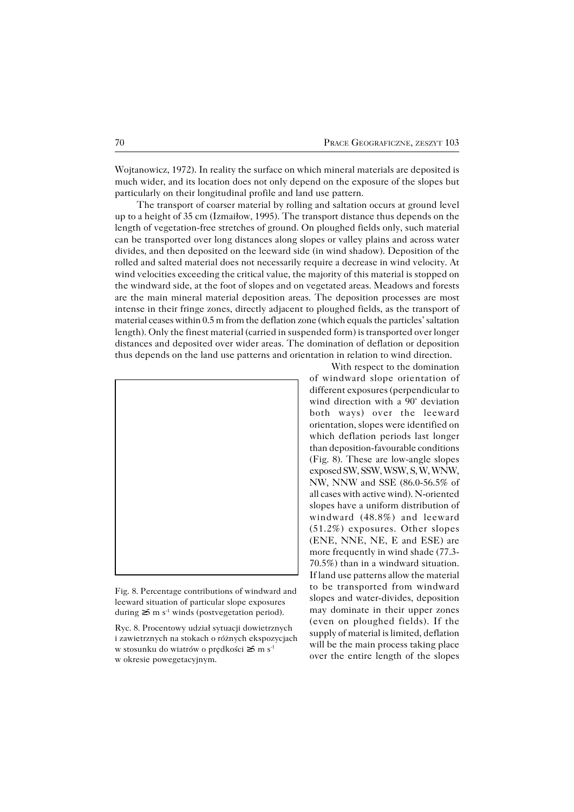Wojtanowicz, 1972). In reality the surface on which mineral materials are deposited is much wider, and its location does not only depend on the exposure of the slopes but particularly on their longitudinal profile and land use pattern.

The transport of coarser material by rolling and saltation occurs at ground level up to a height of 35 cm (Izmaiłow, 1995). The transport distance thus depends on the length of vegetation−free stretches of ground. On ploughed fields only, such material can be transported over long distances along slopes or valley plains and across water divides, and then deposited on the leeward side (in wind shadow). Deposition of the rolled and salted material does not necessarily require a decrease in wind velocity. At wind velocities exceeding the critical value, the majority of this material is stopped on the windward side, at the foot of slopes and on vegetated areas. Meadows and forests are the main mineral material deposition areas. The deposition processes are most intense in their fringe zones, directly adjacent to ploughed fields, as the transport of material ceases within 0.5 m from the deflation zone (which equals the particles' saltation length). Only the finest material (carried in suspended form) is transported over longer distances and deposited over wider areas. The domination of deflation or deposition thus depends on the land use patterns and orientation in relation to wind direction.



Fig. 8. Percentage contributions of windward and leeward situation of particular slope exposures during ≥5 m s−1 winds (postvegetation period).

Ryc. 8. Procentowy udział sytuacji dowietrznych i zawietrznych na stokach o różnych ekspozycjach w stosunku do wiatrów o prędkości ≥5 m s−1 w okresie powegetacyjnym.

With respect to the domination of windward slope orientation of different exposures (perpendicular to wind direction with a 90° deviation both ways) over the leeward orientation, slopes were identified on which deflation periods last longer than deposition−favourable conditions (Fig. 8). These are low−angle slopes exposed SW, SSW, WSW, S, W, WNW, NW, NNW and SSE (86.0−56.5% of all cases with active wind). N−oriented slopes have a uniform distribution of windward (48.8%) and leeward (51.2%) exposures. Other slopes (ENE, NNE, NE, E and ESE) are more frequently in wind shade (77.3− 70.5%) than in a windward situation. If land use patterns allow the material to be transported from windward slopes and water−divides, deposition may dominate in their upper zones (even on ploughed fields). If the supply of material is limited, deflation will be the main process taking place over the entire length of the slopes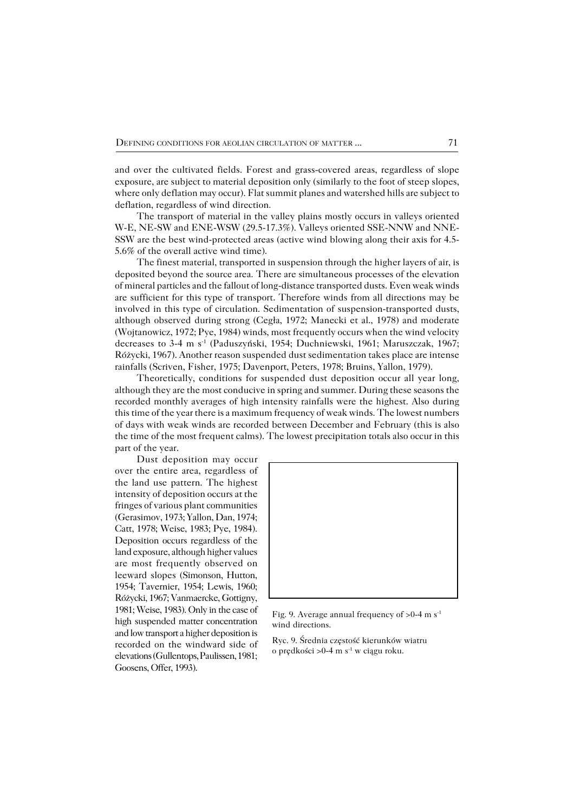and over the cultivated fields. Forest and grass−covered areas, regardless of slope exposure, are subject to material deposition only (similarly to the foot of steep slopes, where only deflation may occur). Flat summit planes and watershed hills are subject to deflation, regardless of wind direction.

The transport of material in the valley plains mostly occurs in valleys oriented W−E, NE−SW and ENE−WSW (29.5−17.3%). Valleys oriented SSE−NNW and NNE− SSW are the best wind−protected areas (active wind blowing along their axis for 4.5− 5.6% of the overall active wind time).

The finest material, transported in suspension through the higher layers of air, is deposited beyond the source area. There are simultaneous processes of the elevation of mineral particles and the fallout of long−distance transported dusts. Even weak winds are sufficient for this type of transport. Therefore winds from all directions may be involved in this type of circulation. Sedimentation of suspension−transported dusts, although observed during strong (Cegła, 1972; Manecki et al., 1978) and moderate (Wojtanowicz, 1972; Pye, 1984) winds, most frequently occurs when the wind velocity decreases to 3−4 m s−1 (Paduszyński, 1954; Duchniewski, 1961; Maruszczak, 1967; Różycki, 1967). Another reason suspended dust sedimentation takes place are intense rainfalls (Scriven, Fisher, 1975; Davenport, Peters, 1978; Bruins, Yallon, 1979).

Theoretically, conditions for suspended dust deposition occur all year long, although they are the most conducive in spring and summer. During these seasons the recorded monthly averages of high intensity rainfalls were the highest. Also during this time of the year there is a maximum frequency of weak winds. The lowest numbers of days with weak winds are recorded between December and February (this is also the time of the most frequent calms). The lowest precipitation totals also occur in this part of the year.

Dust deposition may occur over the entire area, regardless of the land use pattern. The highest intensity of deposition occurs at the fringes of various plant communities (Gerasimov, 1973; Yallon, Dan, 1974; Catt, 1978; Weise, 1983; Pye, 1984). Deposition occurs regardless of the land exposure, although higher values are most frequently observed on leeward slopes (Simonson, Hutton, 1954; Tavernier, 1954; Lewis, 1960; Różycki, 1967; Vanmaercke, Gottigny, 1981; Weise, 1983). Only in the case of high suspended matter concentration and low transport a higher deposition is recorded on the windward side of elevations (Gullentops, Paulissen, 1981; Goosens, Offer, 1993).



Fig. 9. Average annual frequency of >0−4 m s−1 wind directions.

Ryc. 9. Średnia częstość kierunków wiatru o prędkości >0−4 m s−1 w ciągu roku.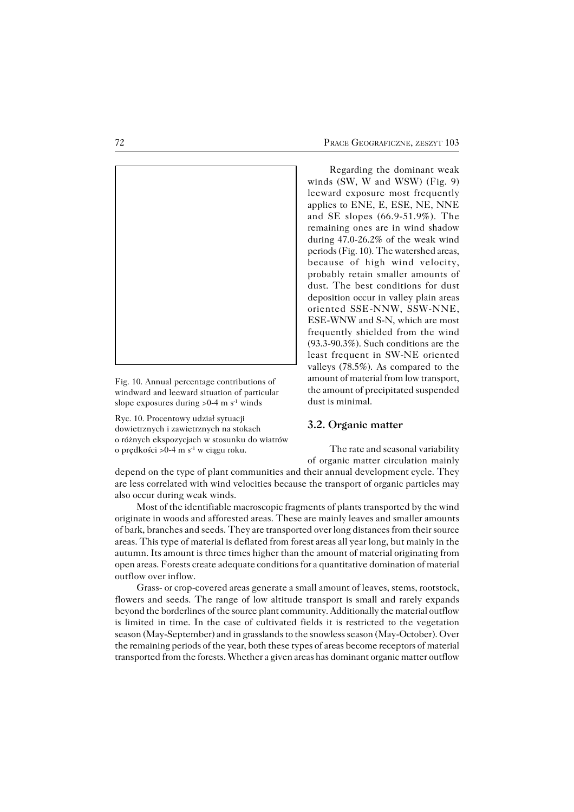

Fig. 10. Annual percentage contributions of windward and leeward situation of particular slope exposures during >0−4 m s<sup>-1</sup> winds

Ryc. 10. Procentowy udział sytuacji dowietrznych i zawietrznych na stokach o różnych ekspozycjach w stosunku do wiatrów o prędkości >0−4 m s−1 w ciągu roku.

Regarding the dominant weak winds (SW, W and WSW) (Fig. 9) leeward exposure most frequently applies to ENE, E, ESE, NE, NNE and SE slopes (66.9−51.9%). The remaining ones are in wind shadow during 47.0−26.2% of the weak wind periods (Fig. 10). The watershed areas, because of high wind velocity, probably retain smaller amounts of dust. The best conditions for dust deposition occur in valley plain areas oriented SSE−NNW, SSW−NNE, ESE−WNW and S−N, which are most frequently shielded from the wind (93.3−90.3%). Such conditions are the least frequent in SW−NE oriented valleys (78.5%). As compared to the amount of material from low transport, the amount of precipitated suspended dust is minimal.

#### **3.2. Organic matter**

The rate and seasonal variability of organic matter circulation mainly

depend on the type of plant communities and their annual development cycle. They are less correlated with wind velocities because the transport of organic particles may also occur during weak winds.

Most of the identifiable macroscopic fragments of plants transported by the wind originate in woods and afforested areas. These are mainly leaves and smaller amounts of bark, branches and seeds. They are transported over long distances from their source areas. This type of material is deflated from forest areas all year long, but mainly in the autumn. Its amount is three times higher than the amount of material originating from open areas. Forests create adequate conditions for a quantitative domination of material outflow over inflow.

Grass− or crop−covered areas generate a small amount of leaves, stems, rootstock, flowers and seeds. The range of low altitude transport is small and rarely expands beyond the borderlines of the source plant community. Additionally the material outflow is limited in time. In the case of cultivated fields it is restricted to the vegetation season (May−September) and in grasslands to the snowless season (May−October). Over the remaining periods of the year, both these types of areas become receptors of material transported from the forests. Whether a given areas has dominant organic matter outflow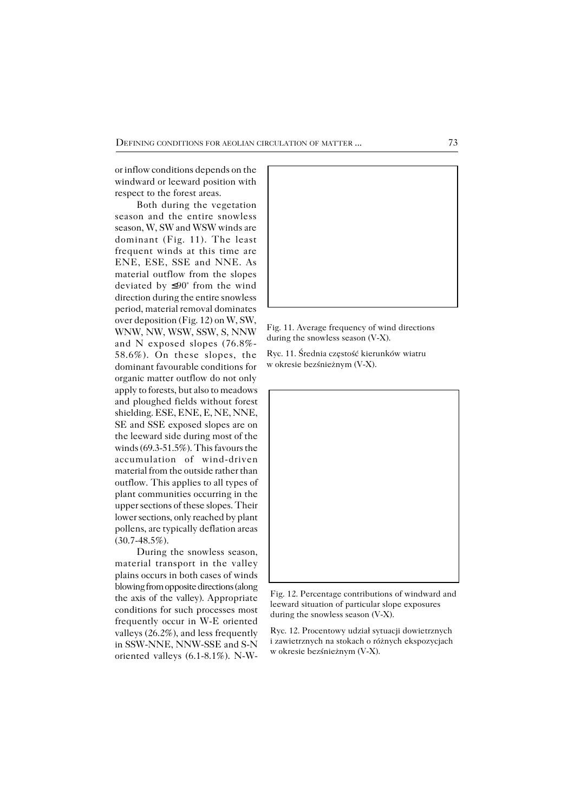or inflow conditions depends on the windward or leeward position with respect to the forest areas.

Both during the vegetation season and the entire snowless season, W, SW and WSW winds are dominant (Fig. 11). The least frequent winds at this time are ENE, ESE, SSE and NNE. As material outflow from the slopes deviated by ≤90° from the wind direction during the entire snowless period, material removal dominates over deposition (Fig. 12) on W, SW, WNW, NW, WSW, SSW, S, NNW and N exposed slopes (76.8%− 58.6%). On these slopes, the dominant favourable conditions for organic matter outflow do not only apply to forests, but also to meadows and ploughed fields without forest shielding. ESE, ENE, E, NE, NNE, SE and SSE exposed slopes are on the leeward side during most of the winds (69.3−51.5%). This favours the accumulation of wind−driven material from the outside rather than outflow. This applies to all types of plant communities occurring in the upper sections of these slopes. Their lower sections, only reached by plant pollens, are typically deflation areas (30.7−48.5%).

During the snowless season, material transport in the valley plains occurs in both cases of winds blowing from opposite directions (along the axis of the valley). Appropriate conditions for such processes most frequently occur in W−E oriented valleys (26.2%), and less frequently in SSW−NNE, NNW−SSE and S−N oriented valleys (6.1−8.1%). N−W−



Fig. 11. Average frequency of wind directions during the snowless season (V−X).

Ryc. 11. Średnia częstość kierunków wiatru w okresie bezśnieżnym (V−X).



Fig. 12. Percentage contributions of windward and leeward situation of particular slope exposures during the snowless season (V−X).

Ryc. 12. Procentowy udział sytuacji dowietrznych i zawietrznych na stokach o różnych ekspozycjach w okresie bezśnieżnym (V−X).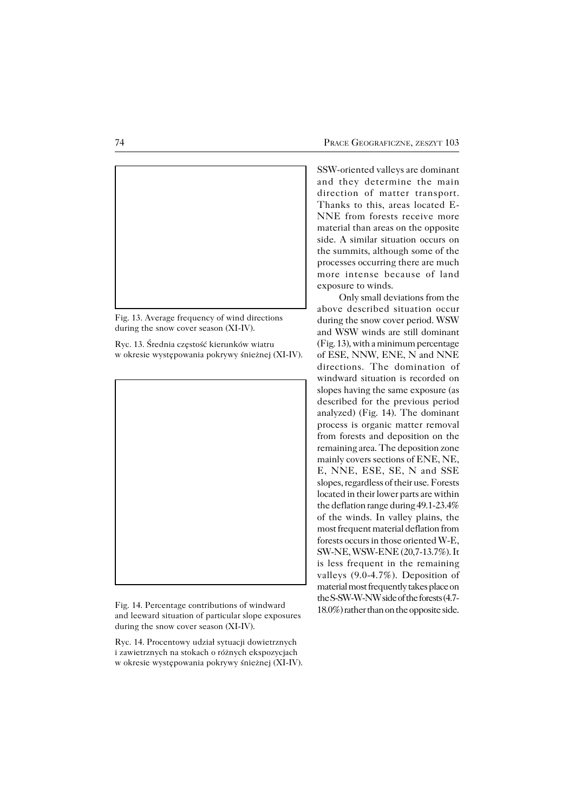

Fig. 13. Average frequency of wind directions during the snow cover season (XI−IV).

Ryc. 13. Średnia częstość kierunków wiatru w okresie występowania pokrywy śnieżnej (XI−IV).



Fig. 14. Percentage contributions of windward and leeward situation of particular slope exposures during the snow cover season (XI−IV).

Ryc. 14. Procentowy udział sytuacji dowietrznych i zawietrznych na stokach o różnych ekspozycjach w okresie występowania pokrywy śnieżnej (XI−IV).

SSW−oriented valleys are dominant and they determine the main direction of matter transport. Thanks to this, areas located E− NNE from forests receive more material than areas on the opposite side. A similar situation occurs on the summits, although some of the processes occurring there are much more intense because of land exposure to winds.

Only small deviations from the above described situation occur during the snow cover period. WSW and WSW winds are still dominant (Fig. 13), with a minimum percentage of ESE, NNW, ENE, N and NNE directions. The domination of windward situation is recorded on slopes having the same exposure (as described for the previous period analyzed) (Fig. 14). The dominant process is organic matter removal from forests and deposition on the remaining area. The deposition zone mainly covers sections of ENE, NE, E, NNE, ESE, SE, N and SSE slopes, regardless of their use. Forests located in their lower parts are within the deflation range during 49.1−23.4% of the winds. In valley plains, the most frequent material deflation from forests occurs in those oriented W−E, SW−NE, WSW−ENE (20,7−13.7%). It is less frequent in the remaining valleys (9.0−4.7%). Deposition of material most frequently takes place on the S−SW−W−NW side of the forests (4.7− 18.0%) rather than on the opposite side.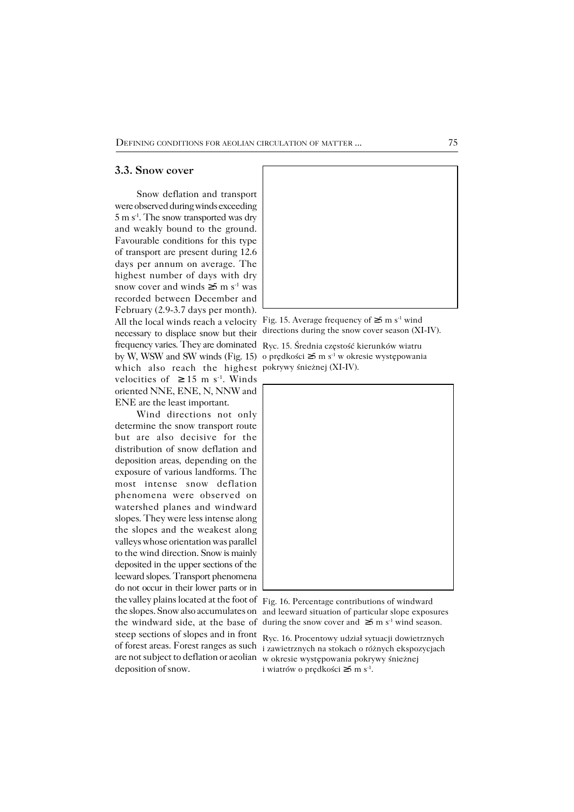#### **3.3. Snow cover**

Snow deflation and transport were observed during winds exceeding 5 m s−1. The snow transported was dry and weakly bound to the ground. Favourable conditions for this type of transport are present during 12.6 days per annum on average. The highest number of days with dry snow cover and winds  $\geq 5$  m s<sup>-1</sup> was recorded between December and February (2.9−3.7 days per month). necessary to displace snow but their frequency varies. They are dominated Ryc. 15. Średnia częstość kierunków wiatru which also reach the highest pokrywy śnieżnej (XI−IV). velocities of  $\geq 15$  m s<sup>-1</sup>. Winds oriented NNE, ENE, N, NNW and ENE are the least important.

Wind directions not only determine the snow transport route but are also decisive for the distribution of snow deflation and deposition areas, depending on the exposure of various landforms. The most intense snow deflation phenomena were observed on watershed planes and windward slopes. They were less intense along the slopes and the weakest along valleys whose orientation was parallel to the wind direction. Snow is mainly deposited in the upper sections of the leeward slopes. Transport phenomena do not occur in their lower parts or in the valley plains located at the foot of Fig. 16. Percentage contributions of windward steep sections of slopes and in front deposition of snow.



All the local winds reach a velocity Fig. 15. Average frequency of  $\geq$ 5 m s<sup>-1</sup> wind directions during the snow cover season (XI−IV).

by W, WSW and SW winds (Fig. 15) o prędkości ≥5 m s−1 w okresie występowania



the slopes. Snow also accumulates on and leeward situation of particular slope exposures the windward side, at the base of during the snow cover and ≥5 m s−1 wind season.

of forest areas. Forest ranges as such i zawietrznych na stokach o różnych ekspozycjach are not subject to deflation or aeolian w okresie występowania pokrywy śnieżnej Ryc. 16. Procentowy udział sytuacji dowietrznych i wiatrów o prędkości ≥5 m s−1 .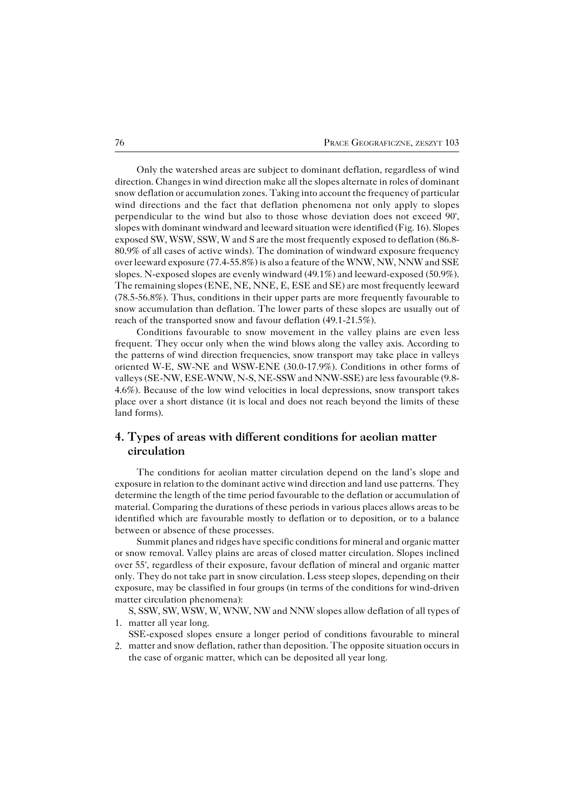Only the watershed areas are subject to dominant deflation, regardless of wind direction. Changes in wind direction make all the slopes alternate in roles of dominant snow deflation or accumulation zones. Taking into account the frequency of particular wind directions and the fact that deflation phenomena not only apply to slopes perpendicular to the wind but also to those whose deviation does not exceed 90°, slopes with dominant windward and leeward situation were identified (Fig. 16). Slopes exposed SW, WSW, SSW, W and S are the most frequently exposed to deflation (86.8− 80.9% of all cases of active winds). The domination of windward exposure frequency over leeward exposure (77.4−55.8%) is also a feature of the WNW, NW, NNW and SSE slopes. N−exposed slopes are evenly windward (49.1%) and leeward−exposed (50.9%). The remaining slopes (ENE, NE, NNE, E, ESE and SE) are most frequently leeward (78.5−56.8%). Thus, conditions in their upper parts are more frequently favourable to snow accumulation than deflation. The lower parts of these slopes are usually out of reach of the transported snow and favour deflation (49.1−21.5%).

Conditions favourable to snow movement in the valley plains are even less frequent. They occur only when the wind blows along the valley axis. According to the patterns of wind direction frequencies, snow transport may take place in valleys oriented W−E, SW−NE and WSW−ENE (30.0−17.9%). Conditions in other forms of valleys (SE−NW, ESE−WNW, N−S, NE−SSW and NNW−SSE) are less favourable (9.8− 4.6%). Because of the low wind velocities in local depressions, snow transport takes place over a short distance (it is local and does not reach beyond the limits of these land forms).

## **4. Types of areas with different conditions for aeolian matter circulation**

The conditions for aeolian matter circulation depend on the land's slope and exposure in relation to the dominant active wind direction and land use patterns. They determine the length of the time period favourable to the deflation or accumulation of material. Comparing the durations of these periods in various places allows areas to be identified which are favourable mostly to deflation or to deposition, or to a balance between or absence of these processes.

Summit planes and ridges have specific conditions for mineral and organic matter or snow removal. Valley plains are areas of closed matter circulation. Slopes inclined over 55°, regardless of their exposure, favour deflation of mineral and organic matter only. They do not take part in snow circulation. Less steep slopes, depending on their exposure, may be classified in four groups (in terms of the conditions for wind−driven matter circulation phenomena):

S, SSW, SW, WSW, W, WNW, NW and NNW slopes allow deflation of all types of 1. matter all year long.

- SSE−exposed slopes ensure a longer period of conditions favourable to mineral
- matter and snow deflation, rather than deposition. The opposite situation occurs in 2.the case of organic matter, which can be deposited all year long.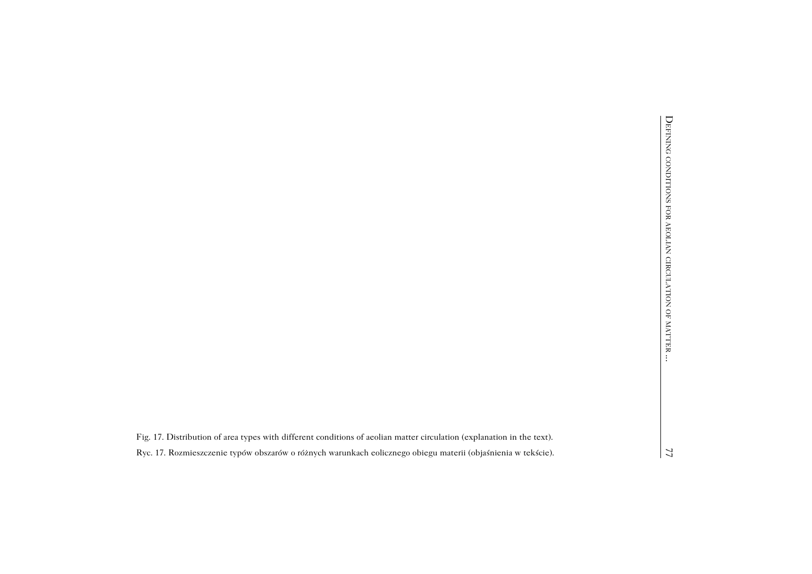|                                                                                                                        | DEFINING CONDITIONS FOR AEOLIAN CIRCULATION OF MATTER |
|------------------------------------------------------------------------------------------------------------------------|-------------------------------------------------------|
| Fig. 17. Distribution of area types with different conditions of aeolian matter circulation (explanation in the text). |                                                       |
| Ryc. 17. Rozmieszczenie typów obszarów o różnych warunkach eolicznego obiegu materii (objaśnienia w tekście).          | 77                                                    |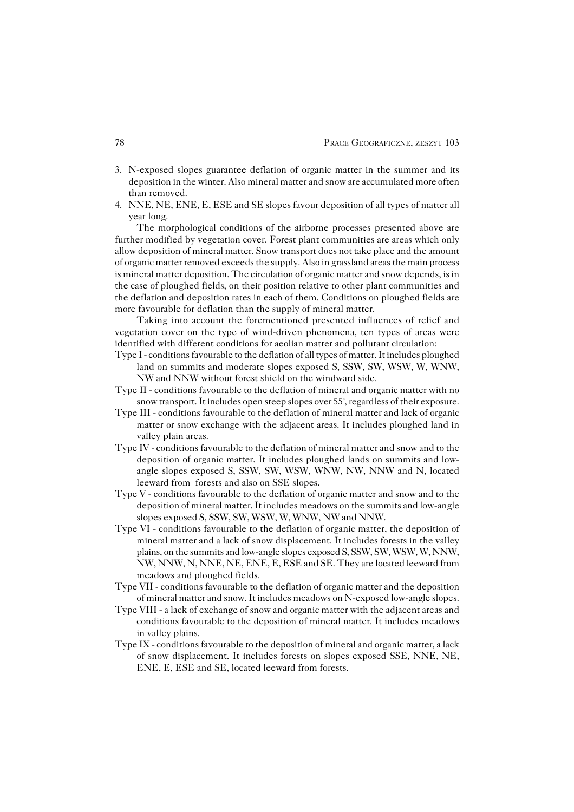- N−exposed slopes guarantee deflation of organic matter in the summer and its 3. deposition in the winter. Also mineral matter and snow are accumulated more often than removed.
- NNE, NE, ENE, E, ESE and SE slopes favour deposition of all types of matter all 4.year long.

The morphological conditions of the airborne processes presented above are further modified by vegetation cover. Forest plant communities are areas which only allow deposition of mineral matter. Snow transport does not take place and the amount of organic matter removed exceeds the supply. Also in grassland areas the main process is mineral matter deposition. The circulation of organic matter and snow depends, is in the case of ploughed fields, on their position relative to other plant communities and the deflation and deposition rates in each of them. Conditions on ploughed fields are more favourable for deflation than the supply of mineral matter.

Taking into account the forementioned presented influences of relief and vegetation cover on the type of wind−driven phenomena, ten types of areas were identified with different conditions for aeolian matter and pollutant circulation:

- Type I − conditions favourable to the deflation of all types of matter. It includes ploughed land on summits and moderate slopes exposed S, SSW, SW, WSW, W, WNW, NW and NNW without forest shield on the windward side.
- Type II − conditions favourable to the deflation of mineral and organic matter with no snow transport. It includes open steep slopes over 55°, regardless of their exposure.
- Type III − conditions favourable to the deflation of mineral matter and lack of organic matter or snow exchange with the adjacent areas. It includes ploughed land in valley plain areas.
- Type IV − conditions favourable to the deflation of mineral matter and snow and to the deposition of organic matter. It includes ploughed lands on summits and low− angle slopes exposed S, SSW, SW, WSW, WNW, NW, NNW and N, located leeward from forests and also on SSE slopes.
- Type V − conditions favourable to the deflation of organic matter and snow and to the deposition of mineral matter. It includes meadows on the summits and low−angle slopes exposed S, SSW, SW, WSW, W, WNW, NW and NNW.
- Type VI − conditions favourable to the deflation of organic matter, the deposition of mineral matter and a lack of snow displacement. It includes forests in the valley plains, on the summits and low−angle slopes exposed S, SSW, SW, WSW, W, NNW, NW, NNW, N, NNE, NE, ENE, E, ESE and SE. They are located leeward from meadows and ploughed fields.
- Type VII − conditions favourable to the deflation of organic matter and the deposition of mineral matter and snow. It includes meadows on N−exposed low−angle slopes.
- Type VIII − a lack of exchange of snow and organic matter with the adjacent areas and conditions favourable to the deposition of mineral matter. It includes meadows in valley plains.
- Type IX − conditions favourable to the deposition of mineral and organic matter, a lack of snow displacement. It includes forests on slopes exposed SSE, NNE, NE, ENE, E, ESE and SE, located leeward from forests.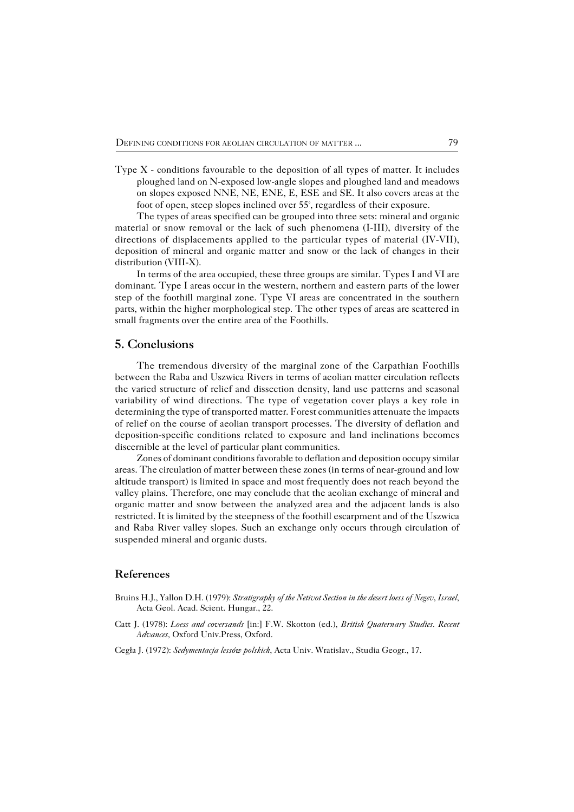Type  $X$  – conditions favourable to the deposition of all types of matter. It includes ploughed land on N−exposed low−angle slopes and ploughed land and meadows on slopes exposed NNE, NE, ENE, E, ESE and SE. It also covers areas at the foot of open, steep slopes inclined over 55°, regardless of their exposure.

The types of areas specified can be grouped into three sets: mineral and organic material or snow removal or the lack of such phenomena (I−III), diversity of the directions of displacements applied to the particular types of material (IV−VII), deposition of mineral and organic matter and snow or the lack of changes in their distribution (VIII−X).

In terms of the area occupied, these three groups are similar. Types I and VI are dominant. Type I areas occur in the western, northern and eastern parts of the lower step of the foothill marginal zone. Type VI areas are concentrated in the southern parts, within the higher morphological step. The other types of areas are scattered in small fragments over the entire area of the Foothills.

## **5. Conclusions**

The tremendous diversity of the marginal zone of the Carpathian Foothills between the Raba and Uszwica Rivers in terms of aeolian matter circulation reflects the varied structure of relief and dissection density, land use patterns and seasonal variability of wind directions. The type of vegetation cover plays a key role in determining the type of transported matter. Forest communities attenuate the impacts of relief on the course of aeolian transport processes. The diversity of deflation and deposition−specific conditions related to exposure and land inclinations becomes discernible at the level of particular plant communities.

Zones of dominant conditions favorable to deflation and deposition occupy similar areas. The circulation of matter between these zones (in terms of near−ground and low altitude transport) is limited in space and most frequently does not reach beyond the valley plains. Therefore, one may conclude that the aeolian exchange of mineral and organic matter and snow between the analyzed area and the adjacent lands is also restricted. It is limited by the steepness of the foothill escarpment and of the Uszwica and Raba River valley slopes. Such an exchange only occurs through circulation of suspended mineral and organic dusts.

## **References**

- Bruins H.J., Yallon D.H. (1979): *Stratigraphy of the Netivot Section in the desert loess of Negev*, *Israel*, Acta Geol. Acad. Scient. Hungar., 22.
- Catt J. (1978): *Loess and coversands* [in:] F.W. Skotton (ed.), *British Quaternary Studies. Recent Advances,* Oxford Univ.Press, Oxford.
- Cegła J. (1972): *Sedymentacja lessów polskich*, Acta Univ. Wratislav., Studia Geogr., 17.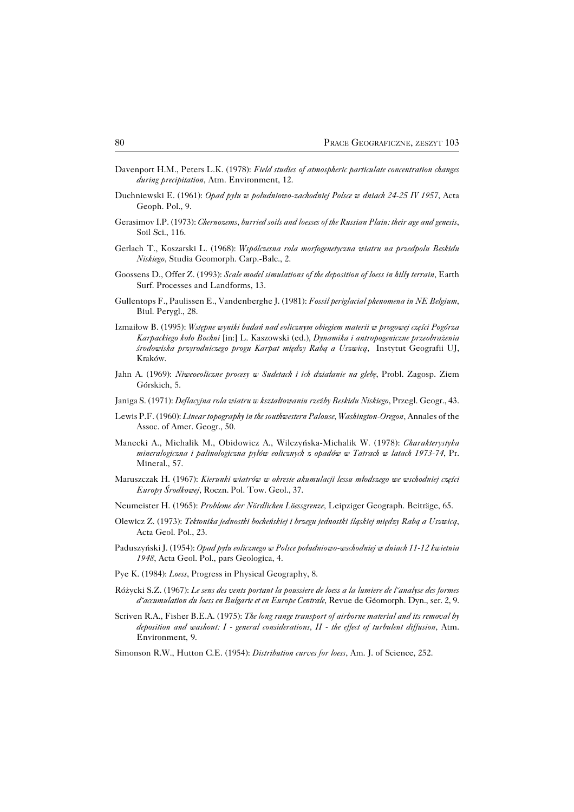- Davenport H.M., Peters L.K. (1978): *Field studies of atmospheric particulate concentration changes during precipitation*, Atm. Environment, 12.
- Duchniewski E. (1961): *Opad pyłu w południowo−zachodniej Polsce w dniach 24−25 IV 1957*, Acta Geoph. Pol., 9.
- Gerasimov I.P. (1973): *Chernozems, burried soils and loesses of the Russian Plain: their age and genesis*, Soil Sci., 116.
- Gerlach T., Koszarski L. (1968): *Wspólczesna rola morfogenetyczna wiatru na przedpolu Beskidu Niskiego*, Studia Geomorph. Carp.−Balc., 2.
- Goossens D., Offer Z. (1993): *Scale model simulations of the deposition of loess in hilly terrain*, Earth Surf. Processes and Landforms, 13.
- Gullentops F., Paulissen E., Vandenberghe J. (1981): *Fossil periglacial phenomena in NE Belgium*, Biul. Perygl., 28.
- Izmaiłow B. (1995): *Wstępne wyniki badań nad eolicznym obiegiem materii w progowej części Pogórza Karpackiego koło Bochni* [in:] L. Kaszowski (ed.)*, Dynamika i antropogeniczne przeobrażenia środowiska przyrodniczego progu Karpat między Rabą a Uszwicą,* Instytut Geografii UJ, Kraków.
- Jahn A. (1969): *Niweoeoliczne procesy w Sudetach i ich działanie na glebę*, Probl. Zagosp. Ziem Górskich, 5.
- Janiga S. (1971): *Deflacyjna rola wiatru w kształtowaniu rzeźby Beskidu Niskiego*, Przegl. Geogr., 43.
- Lewis P.F. (1960): *Linear topography in the southwestern Palouse*, *Washington−Oregon*, Annales of the Assoc. of Amer. Geogr., 50.
- Manecki A., Michalik M., Obidowicz A., Wilczyńska−Michalik W. (1978): *Charakterystyka mineralogiczna i palinologiczna pyłów eolicznych z opadów w Tatrach w latach 1973−74*, Pr. Mineral., 57.
- Maruszczak H. (1967): *Kierunki wiatrów w okresie akumulacji lessu młodszego we wschodniej części Europy Środkowej*, Roczn. Pol. Tow. Geol., 37.
- Neumeister H. (1965): *Probleme der Nördlichen Löessgrenze,* Leipziger Geograph. Beiträge, 65.
- Olewicz Z. (1973): *Tektonika jednostki bocheńskiej i brzegu jednostki śląskiej między Rabą a Uszwicą*, Acta Geol. Pol., 23.
- Paduszyński J. (1954): *Opad pyłu eolicznego w Polsce południowo−wschodniej w dniach 11−12 kwietnia 1948*, Acta Geol. Pol., pars Geologica, 4.
- Pye K. (1984): *Loess*, Progress in Physical Geography, 8.
- Różycki S.Z. (1967): *Le sens des vents portant la poussiere de loess a la lumiere de l˘analyse des formes d˘accumulation du loess en Bulgarie et en Europe Centrale*, Revue de Géomorph. Dyn., ser. 2, 9.
- Scriven R.A., Fisher B.E.A. (1975): *The long range transport of airborne material and its removal by deposition and washout: I − general considerations, II − the effect of turbulent diffusion*, Atm. Environment, 9.
- Simonson R.W., Hutton C.E. (1954): *Distribution curves for loess*, Am. J. of Science, 252.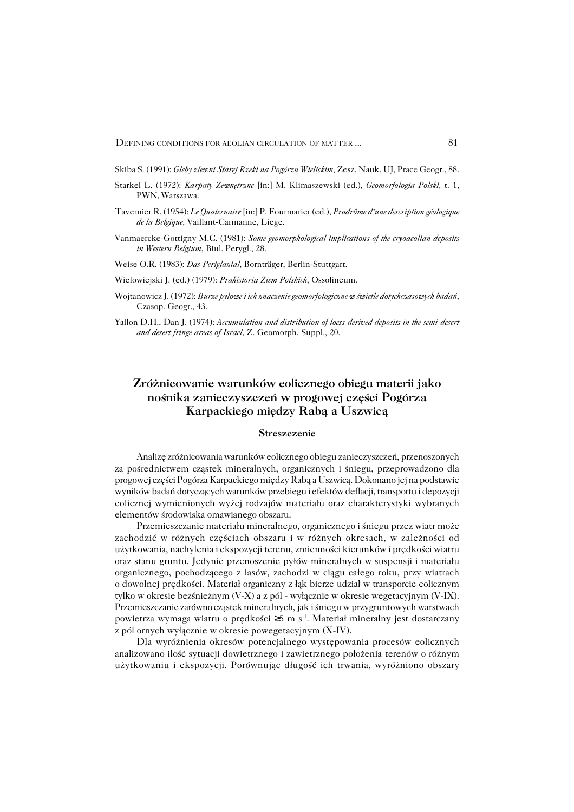Skiba S. (1991): *Gleby zlewni Starej Rzeki na Pogórzu Wielickim*, Zesz. Nauk. UJ, Prace Geogr., 88.

- Starkel L. (1972): *Karpaty Zewnętrzne* [in:] M. Klimaszewski (ed.), *Geomorfologia Polski,* t. 1, PWN, Warszawa.
- Tavernier R. (1954): *Le Quaternaire* [in:] P. Fourmarier (ed.), *Prodrôme d˘une description géologique de la Belgique,* Vaillant−Carmanne, Liege.
- Vanmaercke−Gottigny M.C. (1981): *Some geomorphological implications of the cryoaeolian deposits in Western Belgium*, Biul. Perygl., 28.
- Weise O.R. (1983): *Das Periglazial*, Bornträger, Berlin−Stuttgart.
- Wielowiejski J. (ed.) (1979): *Prahistoria Ziem Polskich*, Ossolineum.
- Wojtanowicz J. (1972): *Burze pyłowe i ich znaczenie geomorfologiczne w świetle dotychczasowych badań*, Czasop. Geogr., 43.
- Yallon D.H., Dan J. (1974): *Accumulation and distribution of loess−derived deposits in the semi−desert and desert fringe areas of Israel*, Z. Geomorph. Suppl., 20.

# **Zróżnicowanie warunków eolicznego obiegu materii jako nośnika zanieczyszczeń w progowej części Pogórza Karpackiego między Rabą a Uszwicą**

#### **Streszczenie**

Analizę zróżnicowania warunków eolicznego obiegu zanieczyszczeń, przenoszonych za pośrednictwem cząstek mineralnych, organicznych i śniegu, przeprowadzono dla progowej części Pogórza Karpackiego między Rabą a Uszwicą. Dokonano jej na podstawie wyników badań dotyczących warunków przebiegu i efektów deflacji, transportu i depozycji eolicznej wymienionych wyżej rodzajów materiału oraz charakterystyki wybranych elementów środowiska omawianego obszaru.

Przemieszczanie materiału mineralnego, organicznego i śniegu przez wiatr może zachodzić w różnych częściach obszaru i w różnych okresach, w zależności od użytkowania, nachylenia i ekspozycji terenu, zmienności kierunków i prędkości wiatru oraz stanu gruntu. Jedynie przenoszenie pyłów mineralnych w suspensji i materiału organicznego, pochodzącego z lasów, zachodzi w ciągu całego roku, przy wiatrach odowolnej prędkości. Materiał organiczny z łąk bierze udział w transporcie eolicznym tylko w okresie bezśnieżnym (V−X) a z pól − wyłącznie w okresie wegetacyjnym (V−IX). Przemieszczanie zarówno cząstek mineralnych, jak i śniegu w przygruntowych warstwach powietrza wymaga wiatru o prędkości ≥5 m s−1. Materiał mineralny jest dostarczany z pól ornych wyłącznie w okresie powegetacyjnym (X-IV).

Dla wyróżnienia okresów potencjalnego występowania procesów eolicznych analizowano ilość sytuacji dowietrznego i zawietrznego położenia terenów o różnym użytkowaniu i ekspozycji. Porównując długość ich trwania, wyróżniono obszary